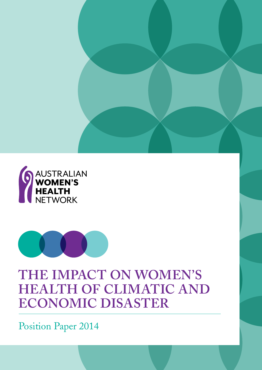



# **The impacT on women's HEALTH OF CLIMATIC AND economic disasTer**

Position Paper 2014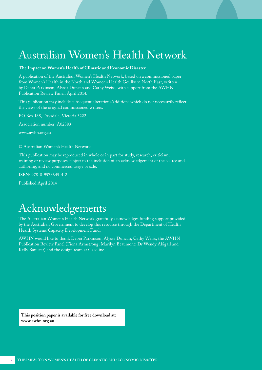# <span id="page-1-0"></span>Australian Women's Health Network

#### **The Impact on Women's Health of Climatic and Economic Disaster**

A publication of the Australian Women's Health Network, based on a commissioned paper from Women's Health in the North and Women's Health Goulburn North East, written by Debra Parkinson, Alyssa Duncan and Cathy Weiss, with support from the AWHN Publication Review Panel, April 2014.

This publication may include subsequent alterations/additions which do not necessarily reflect the views of the original commissioned writers.

PO Box 188, Drysdale, Victoria 3222

Association number: A02383

[www.awhn.org.au](http://www.awhn.org.au)

© Australian Women's Health Network

This publication may be reproduced in whole or in part for study, research, criticism, training or review purposes subject to the inclusion of an acknowledgement of the source and authoring, and no commercial usage or sale.

ISBN: 978-0-9578645-4-2

Published April 2014

## Acknowledgements

The Australian Women's Health Network gratefully acknowledges funding support provided by the Australian Government to develop this resource through the Department of Health Health Systems Capacity Development Fund.

AWHN would like to thank Debra Parkinson, Alyssa Duncan, Cathy Weiss, the AWHN Publication Review Panel (Fiona Armstrong; Marilyn Beaumont; Dr Wendy Abigail and Kelly Banister) and the design team at Gasoline.

**This position paper is available for free download at: [www.awhn.org.au](http://www.awhn.org.au)**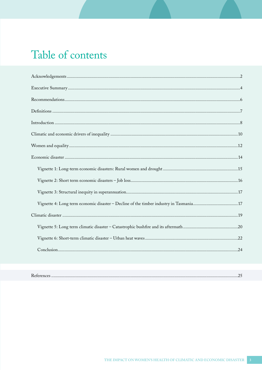# Table of contents

|--|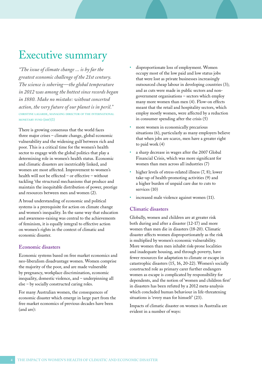### <span id="page-3-0"></span>Executive summary

*"The issue of climate change ... is by far the greatest economic challenge of the 21st century. The science is sobering—the global temperature in 2012 was among the hottest since records began in 1880. Make no mistake: without concerted action, the very future of our planet is in peril."* christine lagarde, managing director of the international monetary fund (imf)(1)

There is growing consensus that the world faces three major crises – climate change, global economic vulnerability and the widening gulf between rich and poor. This is a critical time for the women's health sector to engage with the global politics that play a determining role in women's health status. Economic and climatic disasters are inextricably linked, and women are most affected. Improvement to women's health will not be effected – or effective – without tackling 'the structural mechanisms that produce and maintain the inequitable distribution of power, prestige and resources between men and women (2).

A broad understanding of economic and political systems is a prerequisite for action on climate change and women's inequality. In the same way that education and awareness-raising was central to the achievements of feminism, it is equally integral to effective action on women's rights in the context of climatic and economic disaster.

#### **economic disasters**

Economic systems based on free market economics and neo-liberalism disadvantage women. Women comprise the majority of the poor, and are made vulnerable by pregnancy, workplace discrimination, economic inequality, domestic violence, and – underpinning all else – by socially constructed caring roles.

For many Australian women, the consequences of economic disaster which emerge in large part from the free market economics of previous decades have been (and are):

- disproportionate loss of employment. Women occupy most of the low paid and low status jobs that were lost as private businesses increasingly outsourced cheap labour in developing countries (3); and as cuts were made in public sectors and nongovernment organisations – sectors which employ many more women than men (4). Flow-on effects meant that the retail and hospitality sectors, which employ mostly women, were affected by a reduction in consumer spending after the crisis (5)
- more women in economically precarious situations (6), particularly as many employers believe that when jobs are scarce, men have a greater right to paid work (4)
- a sharp decrease in wages after the 2007 Global Financial Crisis, which was more significant for women than men across all industries (7)
- higher levels of stress-related illness (7, 8); lower take-up of health-promoting activities (9) and a higher burden of unpaid care due to cuts to services (10)
- increased male violence against women (11).

#### **climatic disasters**

Globally, women and children are at greater risk both during and after a disaster (12-17) and more women than men die in disasters (18-20). Climatic disaster affects women disproportionately as the risk is multiplied by women's economic vulnerability. More women than men inhabit risk-prone localities and inadequate housing, and through poverty, have fewer resources for adaptation to climate or escape in catastrophic disasters (15, 16, 20-22). Women's socially constructed role as primary carer further endangers women as escape is complicated by responsibility for dependents, and the notion of 'women and children first' in disasters has been refuted by a 2012 meta-analysis which concluded human behaviour in life-threatening situations is 'every man for himself' (23).

Impacts of climatic disaster on women in Australia are evident in a number of ways: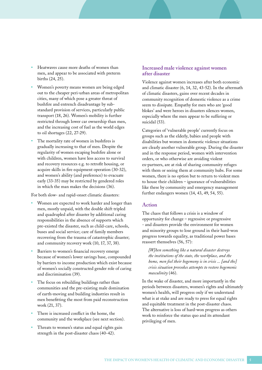- Heatwaves cause more deaths of women than men, and appear to be associated with preterm births (24, 25).
- Women's poverty means women are being edged out to the cheaper peri-urban areas of metropolitan cities, many of which pose a greater threat of bushfire and entrench disadvantage by substandard provision of services, particularly public transport (18, 26). Women's mobility is further restricted through lower car ownership than men, and the increasing cost of fuel as the world edges to oil shortages (22, 27-29).
- The mortality rate of women in bushfires is gradually increasing to that of men. Despite the regularity of women escaping bushfire alone or with children, women have less access to survival and recovery resources e.g. to retrofit housing, or acquire skills in fire equipment operation (30-32), and women's ability (and preference) to evacuate early (33-35) may be restricted by gendered roles in which the man makes the decisions (36).

For both slow- and rapid-onset climatic disasters:

- Women are expected to work harder and longer than men, mostly unpaid, with the double shift tripled and quadrupled after disaster by additional caring responsibilities in the absence of supports which pre-existed the disaster, such as child-care, schools, buses and social service; care of family members recovering from the trauma of catastrophic disaster; and community recovery work (10, 17, 37, 38).
- Barriers to women's financial recovery emerge because of women's lower savings base, compounded by barriers to income production which exist because of women's socially constructed gender role of caring and discrimination (39).
- The focus on rebuilding buildings rather than communities and the pre-existing male domination of earth-moving and building industries result in men benefitting the most from paid reconstruction work (21, 37).
- There is increased conflict in the home, the community and the workplace (see next section).
- Threats to women's status and equal rights gain strength in the post-disaster chaos (40-42).

#### Increased male violence against women after disaster

Violence against women increases after both economic and climatic disaster (6, 14, 32, 43-52). In the aftermath of climatic disasters, gains over recent decades in community recognition of domestic violence as a crime seem to dissipate. Empathy for men who are 'good blokes' and were heroes in disasters silences women, especially where the men appear to be suffering or suicidal (53).

Categories of 'vulnerable people' currently focus on groups such as the elderly, babies and people with disabilities but women in domestic violence situations are clearly another vulnerable group. During the disaster and in the response period, women with intervention orders, or who otherwise are avoiding violent ex-partners, are at risk of sharing community refuges with them or seeing them at community hubs. For some women, there is no option but to return to violent men to house their children - ignorance of vulnerabilities like these by community and emergency management further endangers women (14, 43, 49, 54, 55).

#### **Action**

The chaos that follows a crisis is a window of opportunity for change – regressive or progressive - and disasters provide the environment for women and minority groups to lose ground in their hard-won progress towards equality, as traditional power bases reassert themselves (56, 57):

[W]hen something like a natural disaster destroys the institutions of the state, the workplace, and the home, men feel their hegemony is in crisis ... [and the] crisis situation provokes attempts to restore hegemonic masculinity (46).

In the wake of disaster, and more importantly in the periods between disasters, women's rights and ultimately women's health, will progress only if we understand what is at stake and are ready to press for equal rights and equitable treatment in the post-disaster chaos. The alternative is loss of hard-won progress as others work to reinforce the status quo and its attendant privileging of men.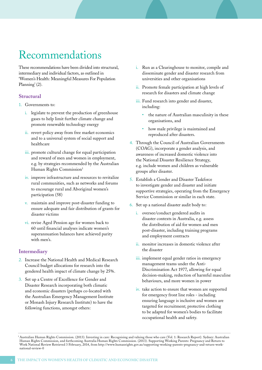# <span id="page-5-0"></span>Recommendations

These recommendations have been divided into structural, intermediary and individual factors, as outlined in 'Women's Health: Meaningful Measures For Population Planning' (2).

### **structural**

- 1. Governments to:
	- i. legislate to prevent the production of greenhouse gases to help limit further climate change and promote renewable technology energy
	- ii. revert policy away from free market economics and to a universal system of social support and healthcare
	- iii. promote cultural change for equal participation and reward of men and women in employment, e.g. by strategies recommended by the Australian Human Rights Commission<sup>1</sup>
	- iv. improve infrastructure and resources to revitalize rural communities, such as networks and forums to encourage rural and Aboriginal women's participation (58)
	- v. maintain and improve post-disaster funding to ensure adequate and fair distribution of grants for disaster victims
	- vi. revise Aged Pension age for women back to 60 until financial analyses indicate women's superannuation balances have achieved parity with men's.

### **intermediary**

- 2. Increase the National Health and Medical Research Council budget allocations for research into the gendered health impact of climate change by 25%.
- 3. Set up a Centre of Excellence for Gender and Disaster Research incorporating both climatic and economic disasters (perhaps co-located with the Australian Emergency Management Institute or Monash Injury Research Institute) to have the following functions, amongst others:
- i. Run as a Clearinghouse to monitor, compile and disseminate gender and disaster research from universities and other organisations
- ii. Promote female participation at high levels of research for disasters and climate change
- iii. Fund research into gender and disaster, including:
	- the nature of Australian masculinity in these organisations, and
	- how male privilege is maintained and reproduced after disasters.
- 4. Through the Council of Australian Governments (COAG), incorporate a gender analysis, and awareness of increased domestic violence into the National Disaster Resilience Strategy, e.g. include women and children as vulnerable groups after disaster.
- 5. Establish a Gender and Disaster Taskforce to investigate gender and disaster and initiate supportive strategies, operating from the Emergency Service Commission or similar in each state.
- 6. Set up a national disaster audit body to:
	- i. oversee/conduct gendered audits in disaster contexts in Australia, e.g. assess the distribution of aid for women and men post-disaster, including training programs and employment contracts
	- ii. monitor increases in domestic violence after the disaster
	- iii. implement equal gender ratios in emergency management teams under the Anti-Discrimination Act 1977, allowing for equal decision-making, reduction of harmful masculine behaviours, and more women in power
	- iv. take action to ensure that women are supported for emergency front line roles - including ensuring language is inclusive and women are targeted for recruitment; protective clothing to be adapted for women's bodies to facilitate occupational health and safety.

<sup>1</sup> Australian Human Rights Commission. (2013). Investing in care: Recognising and valuing those who care (Vol. 1: Research Report). Sydney: Australian Human Rights Commission, and forthcoming Australia Human Rights Commission. (2013). Supporting Working Parents: Pregnancy and Return to Work National Review Retrieved 3 February, 2014, from http://www.humanrights.gov.au/supporting-working-parents-pregnancy-and-return-worknational-review-0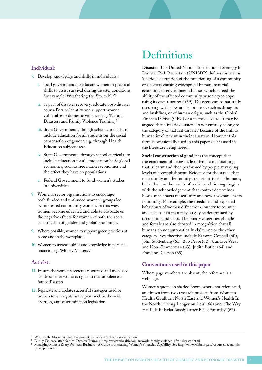#### <span id="page-6-0"></span>Individual:

- 7. Develop knowledge and skills in individuals:
	- i. local governments to educate women in practical skills to assist survival during disaster conditions, for example 'Weathering the Storm Kit'<sup>2</sup>
	- ii. as part of disaster recovery, educate post-disaster counsellors to identity and support women vulnerable to domestic violence, e.g. 'Natural Disasters and Family Violence Training'3
	- iii. State Governments, though school curricula, to include education for all students on the social construction of gender, e.g. through Health Education subject areas
	- iv. State Governments, through school curricula, to include education for all students on basic global economics, such as free market economics and the effect they have on populations
	- v. Federal Government to fund women's studies in universities.
- 8. Women's sector organisations to encourage both funded and unfunded women's groups led by interested community women. In this way, women become educated and able to advocate on the negative effects for women of both the social construction of gender and global economics.
- 9. Where possible, women to support green practices at home and in the workplace.
- 10. Women to increase skills and knowledge in personal finances, e.g. 'Money Matters'.<sup>4</sup>

### Activist:

- 11. Ensure the women's sector is resourced and mobilised to advocate for women's rights in the turbulence of future disasters
- 12. Replicate and update successful strategies used by women to win rights in the past, such as the vote, abortion, anti-discrimination legislation.

## **Definitions**

**Disaster** The United Nations International Strategy for Disaster Risk Reduction (UNISDR) defines disaster as 'a serious disruption of the functioning of a community or a society causing widespread human, material, economic, or environmental losses which exceed the ability of the affected community or society to cope using its own resources' (59). Disasters can be naturally occurring with slow or abrupt onset, such as droughts and bushfires, or of human origin, such as the Global Financial Crisis (GFC) or a factory closure. It may be argued that climatic disasters do not entirely belong to the category of 'natural disaster' because of the link to human involvement in their causation. However this term is occasionally used in this paper as it is used in the literature being noted.

**Social construction of gender** is the concept that the enactment of being male or female is something that is learnt and then performed by people at varying levels of accomplishment. Evidence for the stance that masculinity and femininity are not intrinsic to humans, but rather are the results of social conditioning, begins with the acknowledgement that context determines how a man enacts masculinity and how a woman enacts femininity. For example, the freedoms and expected behaviours of women differ from country to country, and success as a man may largely be determined by occupation and class. The binary categories of male and female are also debated in recognition that all humans do not automatically claim one or the other category. Key theorists include Raewyn Connell (60), John Stoltenberg (61), Bob Pease (62), Candace West and Don Zimmerman (63), Judith Butler (64) and Francine Deutsch (65).

#### **Conventions used in this paper**

Where page numbers are absent, the reference is a webpage.

Women's quotes in shaded boxes, where not referenced, are drawn from two research projects from Women's Health Goulburn North East and Women's Health In the North: 'Living Longer on Less' (66) and 'The Way He Tells It: Relationships after Black Saturday' (67).

<sup>2</sup> Weather the Storm: Women Prepare. http://www.weatherthestorm.net.au/

<sup>3</sup> Family Violence after Natural Disaster Training. http://www.whealth.com.au/work\_family\_violence\_after\_disaster.html

<sup>4</sup> Managing Money: Every Woman's Business - A Guide to Increasing Women's Financial Capability. See http://www.whin.org.au/resources/economicparticipation.html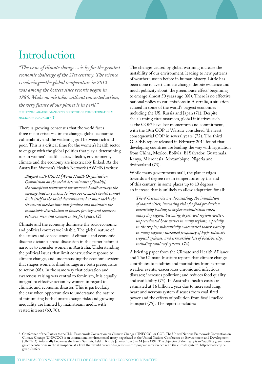## <span id="page-7-0"></span>Introduction

*"The issue of climate change ... is by far the greatest economic challenge of the 21st century. The science is sobering—the global temperature in 2012 was among the hottest since records began in 1880. Make no mistake: without concerted action, the very future of our planet is in peril."* christine lagarde, managing director of the international monetary fund (imf) (1)

There is growing consensus that the world faces three major crises – climate change, global economic vulnerability and the widening gulf between rich and poor. This is a critical time for the women's health sector to engage with the global politics that play a determining role in women's health status. Health, environment, climate and the economy are inextricably linked. As the Australian Women's Health Network (AWHN) writes:

*Aligned with CSDH [World Health Organisation Commission on the social determinants of health], the conceptual framework for women's health conveys the message that any action to improve women's health cannot limit itself to the social determinants but must tackle the structural mechanisms that produce and maintain the inequitable distribution of power, prestige and resources between men and women in the first place.* (2)

Climate and the economy dominate the socioeconomic and political context we inhabit. The global nature of the causes and consequences of climatic and economic disaster dictate a broad discussion in this paper before it narrows to consider women in Australia. Understanding the political issues that limit constructive response to climate change, and understanding the economic system that shapes women's disadvantage are both prerequisite to action (68). In the same way that education and awareness-raising was central to feminism, it is equally integral to effective action by women in regard to climatic and economic disaster. This is particularly the case when opportunities to understand the nature of minimising both climate change risks and growing inequality are limited by mainstream media with vested interest (69, 70).

The changes caused by global warming increase the instability of our environment, leading to new patterns of weather unseen before in human history. Little has been done to avert climate change, despite evidence and much publicity about 'the greenhouse effect' beginning to emerge almost 50 years ago (68). There is no effective national policy to cut emissions in Australia, a situation echoed in some of the world's biggest economies including the US, Russia and Japan (71). Despite the alarming circumstances, global initiatives such as the COP<sup>5</sup> have lost momentum and commitment, with the 19th COP at Warsaw considered 'the least consequential COP in several years' (72). The third GLOBE report released in February 2014 found that developing countries are leading the way with legislation from China, Mexico, Bolivia, El Salvador, Guatemala, Kenya, Micronesia, Mozambique, Nigeria and Switzerland (73).

While many governments stall, the planet edges towards a 4 degree rise in temperatures by the end of this century, in some places up to 10 degrees – an increase that is unlikely to allow adaptation for all:

*The 4°C scenarios are devastating: the inundation of coastal cities; increasing risks for food production potentially leading to higher malnutrition rates; many dry regions becoming dryer, wet regions wetter; unprecedented heat waves in many regions, especially in the tropics; substantially exacerbated water scarcity in many regions; increased frequency of high-intensity tropical cyclones; and irreversible loss of biodiversity, including coral reef systems*. (74)

A briefing paper from the Climate and Health Alliance and The Climate Institute reports that climate change contributes to fatalities and morbidities from extreme weather events; exacerbates chronic and infectious diseases; increases pollution; and reduces food quality and availability (75). In Australia, health costs are estimated at \$6 billion a year due to increased lung, heart and nervous system diseases from coal-fired power and the effects of pollution from fossil-fuelled transport (75). The report concludes:

<sup>5</sup> Conference of the Parties to the U.N. Framework Convention on Climate Change (UNFCCC) or COP. The United Nations Framework Convention on Climate Change (UNFCCC) is an international environmental treaty negotiated at the United Nations Conference on Environment and Development (UNCED), informally known as the Earth Summit, held in Rio de Janeiro from 3 to 14 June 1992. The objective of the treaty is to "stabilize greenhouse gas concentrations in the atmosphere at a level that would prevent dangerous anthropogenic interference with the climate system". http://www.cop19. gov.pl/unfccc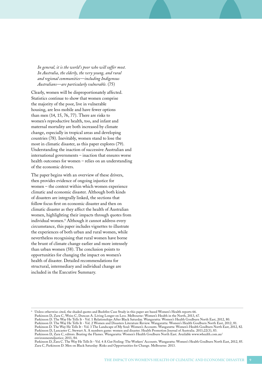*In general, it is the world's poor who will suffer most. In Australia, the elderly, the very young, and rural and regional communities—including Indigenous Australians—are particularly vulnerable.* (75)

Clearly, women will be disproportionately affected. Statistics continue to show that women comprise the majority of the poor, live in vulnerable housing, are less mobile and have fewer options than men (14, 15, 76, 77). There are risks to women's reproductive health, too, and infant and maternal mortality are both increased by climate change, especially in tropical areas and developing countries (78). Inevitably, women stand to lose the most in climatic disaster, as this paper explores (79). Understanding the inaction of successive Australian and international governments – inaction that ensures worse health outcomes for women – relies on an understanding of the economic drivers.

The paper begins with an overview of these drivers, then provides evidence of ongoing injustice for women – the context within which women experience climatic and economic disaster. Although both kinds of disasters are integrally linked, the sections that follow focus first on economic disaster and then on climatic disaster as they affect the health of Australian women, highlighting their impacts through quotes from individual women.6 Although it cannot address every circumstance, this paper includes vignettes to illustrate the experiences of both urban and rural women, while nevertheless recognising that rural women have borne the brunt of climate change earlier and more intensely than urban women (58). The conclusion points to opportunities for changing the impact on women's health of disaster. Detailed recommendations for structural, intermediary and individual change are included in the Executive Summary.

6 Unless otherwise cited, the shaded quotes and Bushfire Case Study in this paper are based Women's Health reports 66.

Parkinson D, Zara C, Weiss C, Duncan A. Living Longer on Less. Melbourne: Women's Health in the North, 2013, 67.

Parkinson D. The Way He Tells It - Vol. 1 Relationships After Black Saturday. Wangaratta: Women's Health Goulburn North East, 2012, 80. Parkinson D. The Way He Tells It - Vol. 2 Women and Disasters Literature Review. Wangaratta: Women's Health Goulburn North East, 2012, 81.

Parkinson D. The Way He Tells It - Vol. 3 The Landscape of My Soul: Women's Accounts. Wangaratta: Women's Health Goulburn North East, 2012, 82. Parkinson D, Lancaster C, Stewart A. A numbers game: women and disaster. Health Promotion Journal of Australia. 2011;22(3), 83.

Parkinson D, Zara C, editors. Beating the Flames. Wangaratta: Women's Health Goulburn North East. Available www.whealth.com.au/ environmentaljustice; 2011, 84.

Parkinson D, Zara C. The Way He Tells It - Vol. 4 A Gut Feeling: The Workers' Accounts. Wangaratta: Women's Health Goulburn North East, 2012, 85. Zara C, Parkinson D. Men on Black Saturday: Risks and Opportunities for Change. Melbourne: 2013.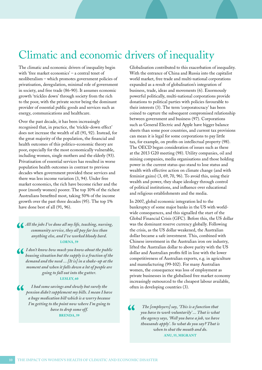## <span id="page-9-0"></span>Climatic and economic drivers of inequality

The climatic and economic drivers of inequality begin with 'free market economics' – a central tenet of neoliberalism – which promotes government policies of privatisation, deregulation, minimal role of government in society, and free trade (86-90). It assumes economic growth 'trickles down' through society from the rich to the poor, with the private sector being the dominant provider of essential public goods and services such as energy, communications and healthcare.

Over the past decade, it has been increasingly recognised that, in practice, the 'trickle-down effect' does not increase the wealth of all (91, 92). Instead, for the great majority of the population, the financial and health outcomes of this politico-economic theory are poor, especially for the most economically vulnerable, including women, single mothers and the elderly (93). Privatisation of essential services has resulted in worse population health outcomes in contrast to previous decades when government provided these services and there was less income variation (3, 94). Under free market economics, the rich have become richer and the poor (mostly women) poorer. The top 10% of the richest Australians benefited most, taking 50% of the income growth over the past three decades (95). The top 1% have done best of all  $(91, 96)$ .

*All the jobs I've done all my life, teaching, nursing, community service, they all pay far less than anything else, and I've worked bloody hard.*  **LORNA, 59**

*I don't know how much you know about the public housing situation but the supply is a fraction of the demand and the need ... [It is] in a shake-up at the moment and when it falls down a lot of people are going to fall out into the gutter.*

**LESLEY, 60**

*I had some savings and slowly but surely the pension didn't supplement my bills. I mean I have a huge medication bill which is a worry because I'm getting to the point now where I'm going to have to drop some off.* **BRENDA, 59**

Globalisation contributed to this exacerbation of inequality. With the entrance of China and Russia into the capitalist world market, free trade and multi-national corporations expanded as a result of globalisation's integration of business, trade, ideas and movements (6). Enormously powerful politically, multi-national corporations provide donations to political parties with policies favourable to their interests (3). The term 'corporatocracy' has been coined to capture the subsequent compromised relationship between government and business (97). Corporations such as General Electric and Apple have bigger balance sheets than some poor countries, and current tax provisions can mean it is legal for some corporations to pay little tax, for example, on profits on intellectual property (98). The OECD began consideration of issues such as these at the 2013 G20 meeting (98). Utility companies, oil and mining companies, media organisations and those holding power in the current status quo stand to lose status and wealth with effective action on climate change (and with feminist gains) (3, 69, 70, 96). To avoid this, using their wealth and power, they shape ideology through control of political institutions, and influence over educational and religious establishments and the media.

In 2007, global economic integration led to the bankruptcy of some major banks in the US with worldwide consequences, and this signalled the start of the Global Financial Crisis (GFC). Before this, the US dollar was the dominant reserve currency globally. Following the crisis, as the US dollar weakened, the Australian dollar became a safe investment. This, combined with Chinese investment in the Australian iron ore industry, lifted the Australian dollar to above parity with the US dollar and Australian profits fell in line with the lower competitiveness of Australian exports, e.g. in agriculture and manufacturing (99-102). For many Australian women, the consequence was loss of employment as private businesses in the globalised free market economy increasingly outsourced to the cheapest labour available, often in developing countries (3).

*The [employers] say, 'This is a function that*   $\alpha$ *you have to work voluntarily' ... That is what the agency says, 'Well you have a job, we have thousands apply'. So what do you say? That is when to shut the mouth and do.*  **ANU, 55, MIGRANT**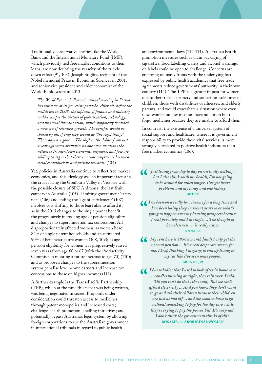Traditionally conservative entities like the World Bank and the International Monetary Fund (IMF), which previously tied free market conditions to their loans, are now doubting the veracity of the trickle down effect (91, 103). Joseph Stiglitz, recipient of the Nobel memorial Prize in Economic Sciences in 2001, and senior vice president and chief economist of the World Bank, wrote in 2013:

*The World Economic Forum's annual meeting in Davos has lost some of its pre-crisis panache. After all, before the meltdown in 2008, the captains of finance and industry could trumpet the virtues of globalization, technology, and financial liberalization, which supposedly heralded a new era of relentless growth. The benefits would be shared by all, if only they would do "the right thing." Those days are gone ... The shift in the debate from just a year ago seems dramatic: no one even mentions the notion of trickle-down economics anymore, and few are willing to argue that there is a close congruence between social contributions and private rewards.* (104)

Yet, policies in Australia continue to reflect free market economics, and this ideology was an important factor in the crisis facing the Goulburn Valley in Victoria with the possible closure of SPC Ardmona, the last fruit cannery in Australia (105). Limiting government 'safety nets' (106) and ending the 'age of entitlement' (107) involves cost shifting to those least able to afford it, as in the 2013 changes to the single parent benefit, the progressively increasing age of pension eligibility and changes to superannuation tax concessions. All disproportionately affected women, as women head 82% of single parent households and an estimated 90% of beneficiaries are women (108, 109); as age pension eligibility for women was progressively raised seven years from age 60 to 67 (with the Productivity Commission mooting a future increase to age 70) (110); and as proposed changes to the superannuation system penalise low income earners and increase tax concessions to those on higher incomes (111).

A further example is the Trans-Pacific Partnership (TPP), which at the time this paper was being written, was being negotiated in secret. Proposals under consideration could threaten access to medicines through patent monopolies and increased costs; challenge health promotion labelling initiatives; and potentially bypass Australia's legal system by allowing foreign corporations to sue the Australian government in international tribunals in regard to public health

and environmental laws (112-114). Australia's health promotion measures such as plain packaging of cigarettes, food labelling clarity and alcohol warnings on labels could be open to challenge. Concerns are emerging on many fronts with the underlying fear expressed by public health academics that free trade agreements reduce governments' authority in their own country (114). The TPP is a greater impost for women due to their role as primary and sometimes sole carer of children, those with disabilities or illnesses, and elderly parents, and would exacerbate a situation where even now, women on low incomes have no option but to forgo medicines because they are unable to afford them.

In contrast, the existence of a universal system of social support and healthcare, where it is government responsibility to provide these vital services, is more strongly correlated to positive health indicators than free market economics (106).

*Just living from day to day on virtually nothing, but I also think with my health, I'm not going to be around for much longer. I've got heart problems and my lungs and one kidney.*  **BETTY**

*I've been on a really low income for a long time and I've been losing sleep in recent years over what's going to happen over my housing prospects because I rent privately and I'm single.... The thought of homelessness … is really scary.* **ANNA, 58**

*My rent here is \$950 a month [and] I only get the normal pension ... it's a real desperate worry for me. I keep thinking I'm going to end up living in my car like I've seen some people.* **BRENDA, 59**

*I know ladies that I used to look after in home care ... candles burning at night, they trip over. I said, 'Oh you can't do that', they said, 'But we can't afford electricity ... And you know they don't want to go and ask their children because their children are just as bad off ... and the women have to go without something to pay for the day care while they're trying to pay the power bill. It's very sad. I don't think the government thinks of this.* **ROSALIE, 77, ABORIGINAL WOMAN**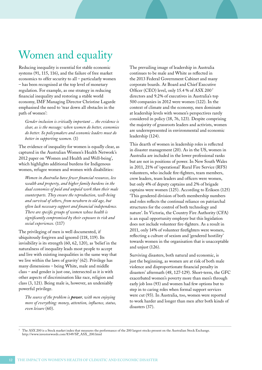# <span id="page-11-0"></span>Women and equality

Reducing inequality is essential for stable economic systems (91, 115, 116), and the failure of free market economics to offer security to all – particularly women – has been recognised at the top level of monetary regulation. For example, as one strategy in reducing financial inequality and restoring a stable world economy, IMF Managing Director Christine Lagarde emphasised the need to 'tear down all obstacles in the path of women':

*Gender inclusion is critically important ... the evidence is clear, as is the message: when women do better, economies do better. So policymakers and economic leaders must do better in supporting women.* (1)

The evidence of inequality for women is equally clear, as captured in the Australian Women's Health Network's 2012 paper on 'Women and Health and Well-being', which highlights additional burdens for Indigenous women, refugee women and women with disabilities:

*Women in Australia have fewer financial resources, less wealth and property, and higher family burdens in the dual economies of paid and unpaid work than their male counterparts. They ensure the reproduction, well-being and survival of others, from newborn to old age, but often lack necessary support and financial independence. There are specific groups of women whose health is significantly compromised by their exposure to risk and social experiences.* (117)

The privileging of men is well documented, if ubiquitously forgiven and ignored (118, 119). Its invisibility is its strength (60, 62, 120), as 'belief in the naturalness of inequality leads most people to accept and live with existing inequalities in the same way that we live within the laws of gravity' (62). Privilege has many dimensions – being White, male and middle class – and gender is just one, intersected as it is with other aspects of discrimination like race, religion and class (3, 121). Being male is, however, an undeniably powerful privilege.

*The source of the problem is power, with men enjoying more of everything: money, attention, influence, status, even leisure* (60).

The prevailing image of leadership in Australia continues to be male and White as reflected in the 2013 Federal Government Cabinet and many corporate boards. At Board and Chief Executive Officer (CEO) level, only 15.4 % of ASX 2007 directors and 9.2% of executives in Australia's top 500 companies in 2012 were women (122). In the context of climate and the economy, men dominate at leadership levels with women's perspectives rarely considered in policy (18, 76, 123). Despite comprising the majority of grassroots leaders and activists, women are underrepresented in environmental and economic leadership (124).

This dearth of women in leadership roles is reflected in disaster management (20). As in the US, women in Australia are included in the lower professional ranks but are not in positions of power. In New South Wales in 2011, 21% of 'operational' Rural Fire Service (RFS) volunteers, who include fire-fighters, team members, crew leaders, team leaders and officers were women, but only 4% of deputy captains and 2% of brigade captains were women (125). According to Eriksen (125) 'This gendered division of both membership numbers and roles reflects the continual reliance on patriarchal structures for the control of both technology and nature'. In Victoria, the Country Fire Authority (CFA) is an equal opportunity employer but this legislation does not include volunteer fire-fighters. As a result in 2011, only 14% of volunteer firefighters were women, reflecting a culture of sexism and 'gendered hostility' towards women in the organisation that is unacceptable and unjust (126).

Surviving disasters, both natural and economic, is just the beginning, as women are at risk of both male violence and disproportionate financial penalty in disasters' aftermath (48, 127-129). Short-term, the GFC exacerbated women's poverty more than men's through early job loss (93) and women had few options but to step in to caring roles when formal support services were cut (93). In Australia, too, women were reported to work harder and longer than men after both kinds of disasters (37).

7 The ASX 200 is a Stock market index that measures the performance of the 200 largest stocks present on the Australian Stock Exchange. http://www.investorwords.com/8349/SP\_ASX\_200.html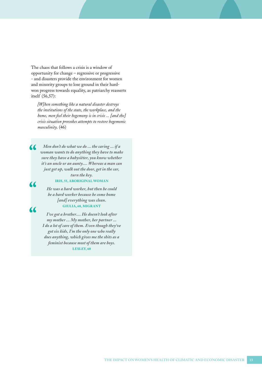The chaos that follows a crisis is a window of opportunity for change – regressive or progressive - and disasters provide the environment for women and minority groups to lose ground in their hardwon progress towards equality, as patriarchy reasserts itself (56,57):

*[W]hen something like a natural disaster destroys the institutions of the state, the workplace, and the home, men feel their hegemony is in crisis ... [and the] crisis situation provokes attempts to restore hegemonic masculinity*. (46)

*Men don't do what we do ... the caring ... if a woman wants to do anything they have to make sure they have a babysitter, you know whether it's an uncle or an aunty.... Whereas a man can just get up, walk out the door, get in the car, turn the key.* 

#### **IRIS, 55, ABORIGINAL WOMAN**

 $\overline{\mathbf{K}}$ 

 $\overline{\mathcal{L}}$ 

*He was a hard worker, but then he could be a hard worker because he come home [and] everything was clean.* **GIULIA, 68, MIGRANT**

*I've got a brother.... He doesn't look after my mother ... My mother, her partner ... I do a lot of care of them. Even though they've got six kids, I'm the only one who really does anything, which gives me the shits as a feminist because most of them are boys.* **LESLEY, 60**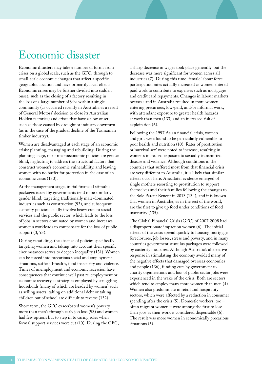## <span id="page-13-0"></span>Economic disaster

Economic disasters may take a number of forms from crises on a global scale, such as the GFC, through to small-scale economic changes that affect a specific geographic location and have primarily local effects. Economic crises may be further divided into sudden onset, such as the closing of a factory resulting in the loss of a large number of jobs within a single community (as occurred recently in Australia as a result of General Motors' decision to close its Australian Holden factories) and crises that have a slow onset, such as those caused by drought or industry downturn (as in the case of the gradual decline of the Tasmanian timber industry).

Women are disadvantaged at each stage of an economic crisis: planning, managing and rebuilding. During the planning stage, most macroeconomic policies are gender blind, neglecting to address the structural factors that construct women's economic vulnerability, and leaving women with no buffer for protection in the case of an economic crisis (130).

At the management stage, initial financial stimulus packages issued by governments tend to be similarly gender blind, targeting traditionally male-dominated industries such as construction (93), and subsequent austerity policies usually involve heavy cuts to social services and the public sector, which leads to the loss of jobs in sectors dominated by women and increases women's workloads to compensate for the loss of public support (3, 93).

During rebuilding, the absence of policies specifically targeting women and taking into account their specific circumstances serves to deepen inequality (131). Women can be forced into precarious social and employment situations, suffer ill-health, food insecurity and violence. Times of unemployment and economic recession have consequences that continue well past re-employment or economic recovery as strategies employed by struggling households (many of which are headed by women) such as selling assets, taking on additional debt or taking children out of school are difficult to reverse (132).

Short-term, the GFC exacerbated women's poverty more than men's through early job loss (93) and women had few options but to step in to caring roles when formal support services were cut (10). During the GFC, a sharp decrease in wages took place generally, but the decrease was more significant for women across all industries (7). During this time, female labour force participation rates actually increased as women entered paid work to contribute to expenses such as mortgages and credit card repayments. Changes in labour markets overseas and in Australia resulted in more women entering precarious, low-paid, and/or informal work, with attendant exposure to greater health hazards at work than men (133) and an increased risk of exploitation (6).

Following the 1997 Asian financial crisis, women and girls were found to be particularly vulnerable to poor health and nutrition (10). Rates of prostitution or 'survival sex' were noted to increase, resulting in women's increased exposure to sexually transmitted disease and violence. Although conditions in the countries that suffered most from that financial crisis are very different to Australia, it is likely that similar effects occur here. Anecdotal evidence emerged of single mothers resorting to prostitution to support themselves and their families following the changes to the Sole Parent Benefit in 2013 (134), and it is known that women in Australia, as in the rest of the world, are the first to give up food under conditions of food insecurity (135).

The Global Financial Crisis (GFC) of 2007-2008 had a disproportionate impact on women (6). The initial effects of the crisis spread quickly to housing mortgage foreclosures, job losses, stress and poverty, and in many countries government stimulus packages were followed by austerity measures. Although Australia's alternative response in stimulating the economy avoided many of the negative effects that damaged overseas economies and people (136), funding cuts by government to charity organisations and loss of public sector jobs were experienced in the wake of the crisis. Both are sectors which tend to employ many more women than men (4). Women also predominate in retail and hospitality sectors, which were affected by a reduction in consumer spending after the crisis (5). Domestic workers, too – often migrant women – were among the first to lose their jobs as their work is considered dispensable (6). The result was more women in economically precarious situations (6).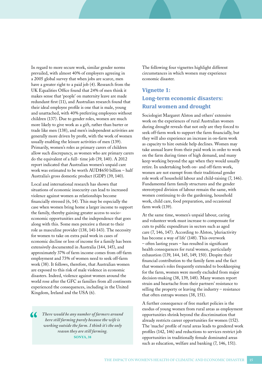<span id="page-14-0"></span>In regard to more secure work, similar gender norms prevailed, with almost 40% of employers agreeing in a 2005 global survey that when jobs are scarce, men have a greater right to a paid job (4). Research from the UK Equalities Office found that 24% of men think it makes sense that 'people' on maternity leave are made redundant first (11), and Australian research found that their ideal employee profile is one that is male, young and unattached, with 40% preferring employees without children (137). Due to gender roles, women are much more likely to give work as a gift, rather than barter or trade like men (138), and men's independent activities are generally more driven by profit, with the work of women usually enabling the leisure activities of men (139). Primarily, women's roles as primary carers of children allow such discrepancy, as women who are primary carers do the equivalent of a full- time job (39, 140). A 2012 report indicated that Australian women's unpaid care work was estimated to be worth AUD\$650 billion – half Australia's gross domestic product (GDP) (39, 140).

Local and international research has shown that situations of economic insecurity can lead to increased violence against women as relationships become financially stressed (6, 14). This may be especially the case when women bring home a larger income to support the family, thereby gaining greater access to socioeconomic opportunities and the independence that goes along with this. Some men perceive a threat to their role as masculine provider (138, 141-143). The necessity for women to take on extra paid work in cases of economic decline or loss of income for a family has been extensively documented in Australia (144, 145), and approximately 37% of farm income comes from off-farm employment and 73% of women need to seek off-farm work (38). It follows, therefore, that Australian women are exposed to this risk of male violence in economic disasters. Indeed, violence against women around the world rose after the GFC as families from all continents experienced the consequences, including in the United Kingdom, Ireland and the USA (6).

*There would be any number of farmers around here still farming purely because the wife is working outside the farm. I think it's the only reason they are still farming.*  **SONYA, 38**

The following four vignettes highlight different circumstances in which women may experience economic disaster.

### **Vignette 1: Long-term economic disasters: Rural women and drought**

Sociologist Margaret Alston and others' extensive work on the experiences of rural Australian women during drought reveals that not only are they forced to seek off-farm work to support the farm financially, but they will also experience an increase in on-farm work as capacity to hire outside help declines. Women may take annual leave from their paid work in order to work on the farm during times of high demand, and many keep working beyond the age when they would usually retire. In undertaking both on- and off-farm work, women are not exempt from their traditional gender role work of household labour and child-raising (7, 146). Fundamental farm family structures and the gender stereotyped division of labour remain the same, with women continuing to do the gardening, household work, child care, food preparation, and occasional farm work (139).

At the same time, women's unpaid labour, caring and volunteer work must increase to compensate for cuts to public expenditure in sectors such as aged care (7, 146, 147). According to Alston, 'pluriactivity has become a way of life' (148). This overwork – often lasting years – has resulted in significant health consequences for rural women, particularly exhaustion (139, 144, 145, 149, 150). Despite their financial contribution to the family farm and the fact that women's roles frequently extended to bookkeeping for the farm, women were mostly excluded from major decision-making (38, 139, 148). Many women report strain and heartache from their partners' resistance to selling the property or leaving the industry – resistance that often entraps women (38, 151).

A further consequence of free market policies is the exodus of young women from rural areas as employment opportunities shrink beyond the discrimination that already restricts career opportunities for women (152). The 'macho' profile of rural areas leads to gendered work profiles (142, 146) and reductions to services restrict job opportunities in traditionally female dominated areas such as education, welfare and banking  $(7, 146, 151)$ .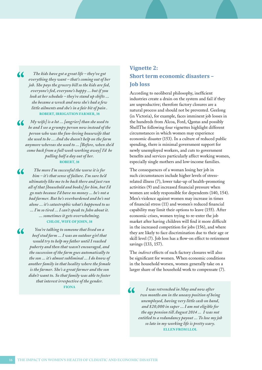<span id="page-15-0"></span>*The kids have got a great life – they've got everything they want – that's coming out of her job. She pays the grocery bill so the kids are fed, everyone's fed, everyone's happy ... but if you look at her schedule – they're stand up shifts ... she became a wreck and now she's had a few little ailments and she's in a fair bit of pain .*  **ROBERT, IRRIGATION FARMER, 38**

*My wife] is a lot ... [angrier] than she used to be and I see a grumpy person now instead of the person who was the fun-loving housewife that she used to be ... And she doesn't help on the farm anymore whereas she used to ... [Before, when she'd come back from a full week working away] I'd be pulling half a day out of her.* **ROBERT, 38**

*The more I'm successful the worse it is for him – it's that sense of failure. I'm sure he'd ultimately like me to be back there and just run all of that [household and books] for him, but I'd go nuts because I'd have no money ... he's not a bad farmer. But he's overburdened and he's not alone ... it's catastrophic what's happened to us ... I'm so tired ... I can't speak to John about it. ... sometimes it gets overwhelming.* **CHLOE, WIFE OF JOHN, 38**

 $\alpha$ 

*You're talking to someone that lived on a beef stud farm ... I was an outdoor girl that would try to help my father until I reached puberty and then that wasn't encouraged, and the succession of the farm goes automatically to the son ... it's almost subliminal ... I do know of another family in that locality where the female is the farmer. She's a great farmer and the son didn't want to. So that family was able to foster that interest irrespective of the gender.*

**FIONA**

### **Vignette 2: Short term economic disasters – Job loss**

According to neoliberal philosophy, inefficient industries create a drain on the system and fail if they are unproductive; therefore factory closures are a natural process and should not be prevented. Geelong (in Victoria), for example, faces imminent job losses in the hundreds from Alcoa, Ford, Qantas and possibly ShellThe following four vignettes highlight different circumstances in which women may experience economic disaster (153). In a culture of reduced public spending, there is minimal government support for newly unemployed workers, and cuts to government benefits and services particularly affect working women, especially single mothers and low-income families.

The consequences of a woman losing her job in such circumstances include higher levels of stressrelated illness (7), lower take-up of health-promoting activities (9) and increased financial pressure when women are solely responsible for dependents (140, 154). Men's violence against women may increase in times of financial stress (11) and women's reduced financial capability may limit their options to leave (155). After economic crises, women trying to re-enter the job market after having children will find it more difficult in the increased competition for jobs (156), and where they are likely to face discrimination due to their age or skill level (7). Job loss has a flow-on effect to retirement savings (133, 157).

The *indirect* effects of such factory closures will also be significant for women. When economic conditions in the household worsen, women generally take on a larger share of the household work to compensate (7).

 $\alpha$ *I was retrenched in May and now after two months am in the uneasy position of being unemployed, having very little cash on hand, and \$20,000 in super ... I am not eligible for the age pension till August 2014 ... I was not entitled to a redundancy payout ... To lose my job so late in my working life is pretty scary.*  **ELLEN FROM LLOL**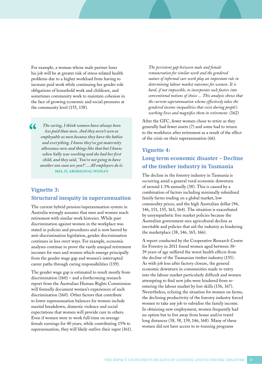<span id="page-16-0"></span>For example, a woman whose male partner loses his job will be at greater risk of stress-related health problems due to a higher workload from having to increase paid work while continuing her gender role obligations of household work and childcare, and sometimes community work to maintain cohesion in the face of growing economic and social pressures at the community level (155, 158).

*The caring, I think women have always been less paid than men. And they aren't seen as employable as men because they have the babies and everything. I know they've got maternity allowance now and things like that but I know when Sally was working and she had her first child, and they said, 'You're not going to have another one soon are you? '... All employers do it.*  **IRIS, 55, ABORIGINAL WOMAN**

### **Vignette 3: Structural inequity in superannuation**

The current hybrid pension/superannuation system in Australia wrongly assumes that men and women reach retirement with similar work histories. While past discrimination against women in the workplace was stated in policies and procedures and is now barred by anti-discrimination legislation, gender discrimination continues in less overt ways. For example, economic analyses continue to prove the vastly unequal retirement incomes for men and women which emerge principally from the gender wage gap and women's interrupted career paths through caring responsibilities (159).

The gender wage gap is estimated to result mostly from discrimination (160) – and a forthcoming research report from the Australian Human Rights Commission will formally document women's experiences of such discrimination (160). Other factors that contribute to lower superannuation balances for women include marital breakdown, domestic violence and social expectations that women will provide care to others. Even if women were to work full-time on average female earnings for 40 years, while contributing 15% to superannuation, they will likely outlive their super (161).

*The persistent gap between male and female remuneration for similar work and the gendered nature of informal care work play an important role in determining labour market outcomes for women. It is hard, if not impossible, to incorporate such factors into conventional notions of choice ... This analysis shows that the current superannuation scheme effectively takes the gendered income inequalities that exist during people's working lives and magnifies them in retirement.* (162)

After the GFC, fewer women chose to retire as they generally had fewer assets (7) and some had to return to the workforce after retirement as a result of the effect of the crisis on their superannuation (66).

### **Vignette 4: Long term economic disaster – Decline of the timber industry in Tasmania**

The decline in the forestry industry in Tasmania is occurring amid a general rural economic downturn of around 1.3% annually (38). This is caused by a combination of factors including minimally subsidised family farms trading on a global market, low commodity prices, and the high Australian dollar (94, 146, 151, 155, 163, 164). The situation is exacerbated by unsympathetic free market policies because the Australian government sees agricultural decline as inevitable and policies that aid the industry as hindering the marketplace (38, 146, 165, 166).

A report conducted by the Cooperative Research Centre for Forestry in 2011 found women aged between 30- 39 years of age suffered the worst health effects from the decline of the Tasmanian timber industry (155). As with job loss after factory closure, the general economic downturn in communities made re-entry into the labour market particularly difficult and women attempting to find new jobs were hindered from reentering the labour market by lost skills (156, 167). Nevertheless, echoing the situation for women on farms, the declining productivity of the forestry industry forced women to take any job to subsidise the family income. In obtaining new employment, women frequently had no option but to live away from home and/or travel long distances (38, 58, 139, 146, 168). Many of these women did not have access to re-training programs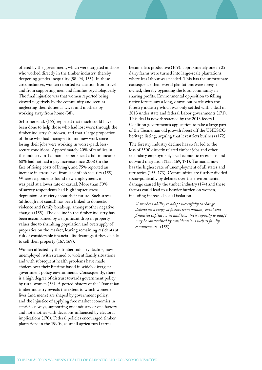offered by the government, which were targeted at those who worked directly in the timber industry, thereby deepening gender inequality (58, 94, 155). In these circumstances, women reported exhaustion from travel and from supporting men and families psychologically. The final injustice was that women reported being viewed negatively by the community and seen as neglecting their duties as wives and mothers by working away from home (38).

Schirmer et al. (155) reported that much could have been done to help those who had lost work through the timber industry shutdown, and that a large proportion of those who had managed to find new work since losing their jobs were working in worse-paid, lesssecure conditions. Approximately 20% of families in this industry in Tasmania experienced a fall in income, 68% had not had a pay increase since 2008 (in the face of rising costs of living), and 75% reported an increase in stress level from lack of job security (155). Where respondents found new employment, it was paid at a lower rate or casual. More than 50% of survey respondents had high impact stress, depression or anxiety about their future. Such stress (although not causal) has been linked to domestic violence and family break-up, amongst other negative changes (155). The decline in the timber industry has been accompanied by a significant drop in property values due to shrinking population and oversupply of properties on the market, leaving remaining residents at risk of considerable financial disadvantage if they decide to sell their property (167, 169).

Women affected by the timber industry decline, now unemployed, with strained or violent family situations and with subsequent health problems have made choices over their lifetime based in widely divergent government policy environments. Consequently, there is a high degree of distrust towards government policy by rural women (58). A potted history of the Tasmanian timber industry reveals the extent to which women's lives (and men's) are shaped by government policy, and the injustice of applying free market economics in capricious ways, supporting one industry or one factory and not another with decisions influenced by electoral implications (170). Federal policies encouraged timber plantations in the 1990s, as small agricultural farms

became less productive (169): approximately one in 25 dairy farms were turned into large-scale plantations, where less labour was needed. This has the unfortunate consequence that several plantations were foreign owned, thereby bypassing the local community in sharing profits. Environmental opposition to felling native forests saw a long, drawn out battle with the forestry industry which was only settled with a deal in 2013 under state and federal Labor governments (171). This deal is now threatened by the 2013 federal Coalition government's application to take a large part of the Tasmanian old growth forest off the UNESCO heritage listing, arguing that it restricts business (172).

The forestry industry decline has so far led to the loss of 3500 directly related timber jobs and other secondary employment, local economic recessions and outward migration (155, 169, 171). Tasmania now has the highest rate of unemployment of all states and territories (155, 173). Communities are further divided socio-politically by debates over the environmental damage caused by the timber industry (174) and these factors could lead to a heavier burden on women, including increased social isolation.

*'A worker's ability to adapt successfully to change depend on a range of factors from human, social and financial capital … in addition, their capacity to adapt may be constrained by considerations such as family commitments.'* (155)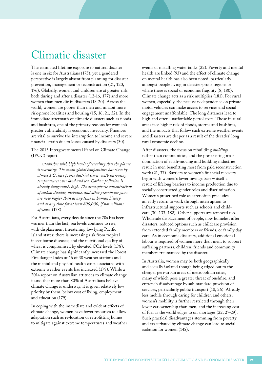## <span id="page-18-0"></span>Climatic disaster

The estimated lifetime exposure to natural disaster is one in six for Australians (175), yet a gendered perspective is largely absent from planning for disaster prevention, management or reconstruction (21, 120, 176). Globally, women and children are at greater risk both during and after a disaster (12-16, 177) and more women than men die in disasters (18-20). Across the world, women are poorer than men and inhabit more risk-prone localities and housing (15, 16, 21, 32). In the immediate aftermath of climatic disasters such as floods and bushfires, one of the primary reasons for women's greater vulnerability is economic insecurity. Finances are vital to survive the interruption to income and severe financial strain due to losses caused by disasters (30).

The 2013 Intergovernmental Panel on Climate Change (IPCC) report:

*... establishes with high levels of certainty that the planet is warming. The mean global temperature has risen by almost 1°C since pre-industrial times, with increasing temperatures over land and sea. Carbon pollution is already dangerously high. The atmospheric concentrations of carbon dioxide, methane, and other greenhouse gases are now higher than at any time in human history, and at any time for at least 800,000, if not millions of years.* (178)

For Australians, every decade since the 70s has been warmer than the last; sea levels continue to rise, with displacement threatening low lying Pacific Island states; there is increasing risk from tropical insect borne diseases; and the nutritional quality of wheat is compromised by elevated CO2 levels (178). Climate change has significantly increased the Forest Fire danger Index at 16 of 38 weather stations and the mental and physical health costs associated with extreme weather events has increased (178). While a 2014 report on Australian attitudes to climate change found that more than 80% of Australians believe climate change is underway, it is given relatively low priority by them, below cost of living, employment and education (179).

In coping with the immediate and evident effects of climate change, women have fewer resources to allow adaptation such as re-location or retrofitting homes to mitigate against extreme temperatures and weather events or installing water tanks (22). Poverty and mental health are linked (93) and the effect of climate change on mental health has also been noted, particularly amongst people living in disaster-prone regions or where there is social or economic fragility (8, 180). Climate change acts as a risk multiplier (181). For rural women, especially, the necessary dependence on private motor vehicles can make access to services and social engagement unaffordable. The long distances lead to high and often unaffordable petrol costs. Those in rural areas face higher risk of floods, storms and bushfires, and the impacts that follow such extreme weather events and disasters are deeper as a result of the decades' long rural economic decline.

After disasters, the focus on rebuilding *buildings* rather than communities, and the pre-existing male domination of earth-moving and building industries result in men benefitting most from paid reconstruction work (21, 37). Barriers to women's financial recovery begin with women's lower savings base – itself a result of lifelong barriers to income production due to socially constructed gender roles and discrimination. Women's prescribed role as carer often precludes an early return to work through interruption to infrastructural supports such as schools and childcare (30, 133, 182). Other supports are removed too. Wholesale displacement of people, now homeless after disasters, reduced options such as childcare provision from extended family members or friends, or family day care. As in economic disasters, additional emotional labour is required of women more than men, to support suffering partners, children, friends and community members traumatised by the disaster.

In Australia, women may be both geographically and socially isolated though being edged out to the cheaper peri-urban areas of metropolitan cities, many of which pose a greater threat of bushfire, and entrench disadvantage by sub-standard provision of services, particularly public transport (18, 26). Already less mobile through caring for children and others, women's mobility is further restricted through their lower car ownership than men, and the increasing cost of fuel as the world edges to oil shortages (22, 27-29). Such practical disadvantages stemming from poverty and exacerbated by climate change can lead to social isolation for women (145).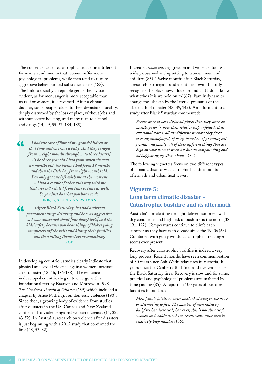<span id="page-19-0"></span>The consequences of catastrophic disaster are different for women and men in that women suffer more psychological problems, while men tend to turn to aggressive behaviour and substance abuse (183). The link to socially acceptable gender behaviours is evident, as for men, anger is more acceptable than tears. For women, it is reversed. After a climatic disaster, some people return to their devastated locality, deeply disturbed by the loss of place, without jobs and without secure housing, and many turn to alcohol and drugs (14, 49, 55, 67, 184, 185).

*I had the care of four of my grandchildren at that time and one was a baby. And they ranged from ... eight months through ... to three [years] ... The three year old I had from when she was six months old, the twins I had from 18 months and then the little boy from eight months old. I've only got one left with me at the moment ... I had a couple of other kids stay with me that weren't related from time to time as well. So you just do what you have to do.*  **IRIS, 55, ABORIGINAL WOMAN**

 *[After Black Saturday, he] had a virtual permanent binge drinking and he was aggressive ... I was concerned about [our daughter's] and the kids' safety because you hear things of blokes going completely off the rails and killing their families and then killing themselves or something.* **ROD**

In developing countries, studies clearly indicate that physical and sexual violence against women increases after disaster (13, 16, 186-188). The evidence in developed countries began to emerge with a foundational text by Enarson and Morrow in 1998 – *The Gendered Terrain of Disaster* (189) which included a chapter by Alice Fothergill on domestic violence (190). Since then, a growing body of evidence from studies after disasters in the US, Canada and New Zealand confirms that violence against women increases (14, 32, 43-52). In Australia, research on violence after disasters is just beginning with a 2012 study that confirmed the link (48, 53, 82).

Increased *community* aggression and violence, too, was widely observed and upsetting to women, men and children (85). Twelve months after Black Saturday, a research participant said about her town: 'I hardly recognise the place now. I look around and I don't know what ethos it is we hold on to' (67). Family dynamics change too, shaken by the layered pressures of the aftermath of disaster (43, 49, 145). An informant to a study after Black Saturday commented:

*People were at very different places than they were six months prior in how their relationship unfolded, their emotional status, all the different stressors they faced … of being unemployed, of being homeless, of grieving lost friends and family, all of those different things that are high on your normal stress list but all compounding and all happening together. (Paul)* (85).

The following vignettes focus on two different types of climatic disaster – catastrophic bushfire and its aftermath and urban heat waves.

### **Vignette 5: Long term climatic disaster – Catastrophic bushfire and its aftermath**

Australia's unrelenting drought delivers summers with dry conditions and high risk of bushfire as the norm (38, 191, 192). Temperatures continue to climb each summer as they have each decade since the 1940s (68). Combined with gusty winds, catastrophic fire danger seems ever present.

Recovery after catastrophic bushfire is indeed a very long process. Recent months have seen commemoration of 30 years since Ash Wednesday fires in Victoria, 10 years since the Canberra Bushfires and five years since the Black Saturday fires. Recovery is slow and for some, practical and psychological problems are unabated by time passing (85). A report on 100 years of bushfire fatalities found that:

*Most female fatalities occur while sheltering in the house or attempting to flee. The number of men killed by bushfires has decreased; however, this is not the case for women and children, who in recent years have died in relatively high numbers* (36)*.*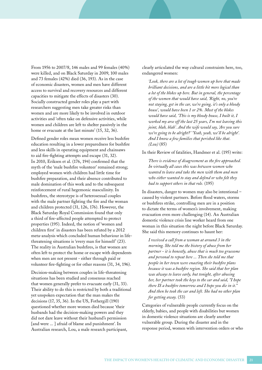From 1956 to 2007/8, 146 males and 99 females (40%) were killed, and on Black Saturday in 2009, 100 males and 73 females (42%) died (36, 193). As in the case of economic disasters, women and men have different access to survival and recovery resources and different capacities to mitigate the effects of disasters (30). Socially constructed gender roles play a part with researchers suggesting men take greater risks than women and are more likely to be involved in outdoor activities and 'often take on defensive activities, while women and children are left to shelter passively in the home or evacuate at the last minute' (15, 32, 36).

Defined gender roles mean women receive less bushfire education resulting in a lower preparedness for bushfire and less skills in operating equipment and chainsaws to aid fire-fighting attempts and escape (31, 32). In 2010, Eriksen et al. (176, 194) confirmed that the myth of the 'male bushfire volunteer' remained strong; employed women with children had little time for bushfire preparation, and their absence contributed to male domination of this work and to the subsequent reinforcement of rural hegemonic masculinity. In bushfires, the stereotype is of heterosexual couples with the male partner fighting the fire and the woman and children protected (31, 126, 176). However, the Black Saturday Royal Commission found that only a third of fire-affected people attempted to protect properties (195). Indeed, the notion of 'women and children first' in disasters has been refuted by a 2012 meta-analysis which concluded human behaviour in lifethreatening situations is 'every man for himself' (23). The reality in Australian bushfires, is that women are often left to protect the home or escape with dependents when men are not present - either through paid or volunteer fire-fighting or for other reasons (31, 34, 196).

Decision-making between couples in life-threatening situations has been studied and consensus reached that women generally prefer to evacuate early (31, 33). Their ability to do this is restricted by both a traditional yet unspoken expectation that the man makes the decisions (17, 35, 36). In the US, Fothergill (190) questioned whether more women died because 'their husbands had the decision-making powers and they did not dare leave without their husband's permission [and were ... ] afraid of blame and punishment'. In Australian research, Lou, a male research participant,

clearly articulated the way cultural constraints here, too, endangered women:

*'Look, there are a lot of tough women up here that made brilliant decisions, and are a little bit more logical than a lot of the blokes up here. But in general, the percentage of the women that would have said, 'Right, no, you're not staying, get in the car, we're going, it's only a bloody house', would have been 1 or 2%. Most of the blokes would have said, 'This is my bloody house, I built it, I worked my arse off the last 25 years, I'm not leaving this joint, blah, blah'. And the wife would say, 'Are you sure we're going to be alright?' 'Yeah, yeah, we'll be alright'. And I know a few families that perished like that. (Lou)* (85)

In their Review of fatalities, Handmer et al. (195) write:

*There is evidence of disagreement as the fire approached. In virtually all cases this was between women who wanted to leave and take the men with them and men who either wanted to stay and defend or who felt they had to support others in that role.* (195)

In disasters, danger to women may also be intentional – caused by violent partners. Before flood waters, storms or bushfires strike, controlling men are in a position to dictate the terms of women's involvement, making evacuation even more challenging (14). An Australian domestic violence crisis line worker heard from one woman in this situation the night before Black Saturday. She said this memory continues to haunt her:

*I received a call from a woman at around 3 in the morning. She told me the history of abuse from her partner - it is honestly, abuse that is much too gruesome and personal to repeat here ... Then she told me that people in her town were enacting their bushfire plans because it was a bushfire region. She said that her plan was always to leave early, but tonight, after abusing her, her partner took the keys to the car and said, "I hope there IS a bushfire tomorrow and I hope you die in it." And then he took the car and left. She had no other plan for getting away.* (53)

Categories of vulnerable people currently focus on the elderly, babies, and people with disabilities but women in domestic violence situations are clearly another vulnerable group. During the disaster and in the response period, women with intervention orders or who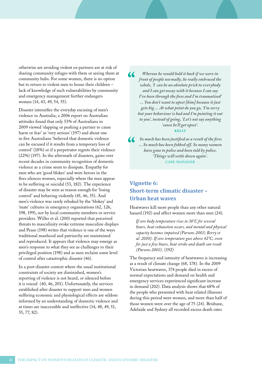<span id="page-21-0"></span>otherwise are avoiding violent ex-partners are at risk of sharing community refuges with them or seeing them at community hubs. For some women, there is no option but to return to violent men to house their children – lack of knowledge of such vulnerabilities by community and emergency management further endangers women (14, 43, 49, 54, 55).

Disaster intensifies the everyday excusing of men's violence in Australia; a 2006 report on Australian attitudes found that only 53% of Australians in 2009 viewed 'slapping or pushing a partner to cause harm or fear' as 'very serious' (197) and about one in five Australians 'believed that domestic violence can be excused if it results from a temporary loss of control' (18%) or if a perpetrator regrets their violence (22%) (197). In the aftermath of disasters, gains over recent decades in community recognition of domestic violence as a crime seem to dissipate. Empathy for men who are 'good blokes' and were heroes in the fires silences women, especially where the men appear to be suffering or suicidal (53, 182). The experience of disaster may be seen as reason enough for 'losing control' and behaving violently (45, 46, 55). And men's violence was rarely rebuked by the 'blokey' and 'mate' cultures in emergency organisations (62, 126, 198, 199), nor by local community members or service providers. Willer et al. (200) reported that perceived threats to masculinity evoke extreme masculine displays and Pease (198) writes that violence is one of the ways traditional manhood and patriarchy are maintained and reproduced. It appears that violence may emerge as men's response to what they see as challenges to their privileged position (198) and as men reclaim some level of control after catastrophic disaster (46).

In a post-disaster context where the usual institutional constraints of society are diminished, women's reporting of violence is not heard, or silenced before it is voiced (40, 46, 201). Unfortunately, the services established after disaster to support men and women suffering economic and physiological effects are seldom informed by an understanding of domestic violence and at times are inaccessible and ineffective (14, 48, 49, 51, 55, 77, 82).

 $\overline{\mathbf{C}}$ *Whereas he would hold it back if we were in front of people normally, he really embraced the whole, 'I can be an absolute prick to everybody and I can get away with it because I can say I've been through the fires and I'm traumatised' ... You don't want to upset [him] because it just gets big ... At what point do you go, 'I'm sorry but your behaviour is bad and I'm pointing it out to you', instead of going, 'Let's not say anything 'cause he'll get upset'.*  **KELLY**

 *So much has been justified as a result of the fires ... So much has been fobbed off. So many women have gone to police and been told by police, 'Things will settle down again'.* **CASE-MANAGER**

### **Vignette 6: Short-term climatic disaster – Urban heat waves**

Heatwaves kill more people than any other natural hazard (192) and affect women more than men (24).

*If core body temperature rises to 38°C for several hours, heat exhaustion occurs, and mental and physical capacity becomes impaired (Parsons 2003; Berry et al. 2010). If core temperature goes above 42°C, even for just a few hours, heat stroke and death can result (Parsons 2003).* (192)

The frequency and intensity of heatwaves is increasing as a result of climate change (68, 178). In the 2009 Victorian heatwaves, 374 people died in excess of normal expectations and demand on health and emergency services experienced significant increase in demand (202). Data analysis shows that 68% of the people who presented with heat related illnesses during this period were women, and more than half of those women were over the age of 75 (24). Brisbane, Adelaide and Sydney all recorded excess death rates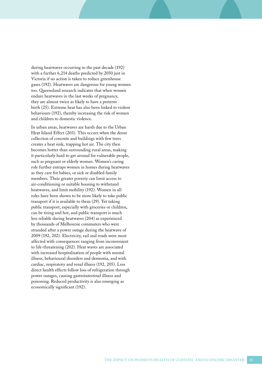during heatwaves occurring in the past decade (192) with a further 6,214 deaths predicted by 2050 just in Victoria if no action is taken to reduce greenhouse gases (192). Heatwaves are dangerous for young women too. Queensland research indicates that when women endure heatwaves in the last weeks of pregnancy, they are almost twice as likely to have a preterm birth (25). Extreme heat has also been linked to violent behaviours (192), thereby increasing the risk of women and children to domestic violence.

In urban areas, heatwaves are harsh due to the Urban Heat Island Effect (203). This occurs when the dense collection of concrete and buildings with few trees creates a heat sink, trapping hot air. The city then becomes hotter than surrounding rural areas, making it particularly hard to get around for vulnerable people, such as pregnant or elderly women. Women's caring role further entraps women in homes during heatwaves as they care for babies, or sick or disabled family members. Their greater poverty can limit access to air-conditioning or suitable housing to withstand heatwaves, and limit mobility (192). Women in all roles have been shown to be more likely to take public transport if it is available to them (29). Yet taking public transport, especially with groceries or children, can be tiring and hot, and public transport is much less reliable during heatwaves (204) as experienced by thousands of Melbourne commuters who were stranded after a power outage during the heatwave of 2009 (192, 202). Electricity, rail and roads were most affected with consequences ranging from inconvenient to life-threatening (202). Heat waves are associated with increased hospitalisation of people with mental illness, behavioural disorders and dementia, and with cardiac, respiratory and renal illness (192, 205). Less direct health effects follow loss of refrigeration through power outages, causing gastrointestinal illness and poisoning. Reduced productivity is also emerging as economically significant (192).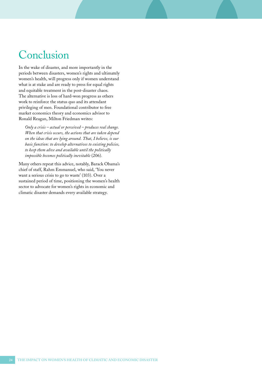### <span id="page-23-0"></span>Conclusion

In the wake of disaster, and more importantly in the periods between disasters, women's rights and ultimately women's health, will progress only if women understand what is at stake and are ready to press for equal rights and equitable treatment in the post-disaster chaos. The alternative is loss of hard-won progress as others work to reinforce the status quo and its attendant privileging of men. Foundational contributor to free market economics theory and economics advisor to Ronald Reagan, Milton Friedman writes:

*Only a crisis – actual or perceived – produces real change. When that crisis occurs, the actions that are taken depend on the ideas that are lying around. That, I believe, is our basic function: to develop alternatives to existing policies, to keep them alive and available until the politically impossible becomes politically inevitable* (206)*.* 

Many others repeat this advice, notably, Barack Obama's chief of staff, Rahm Emmanuel, who said, 'You never want a serious crisis to go to waste' (103). Over a sustained period of time, positioning the women's health sector to advocate for women's rights in economic and climatic disaster demands every available strategy.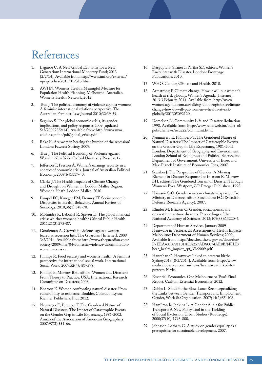### <span id="page-24-0"></span>References

- 1. Lagarde C. A New Global Economy for a New Generation: International Monetary Fund; 2013 [2/2/14]. Available from: http://www.imf.org/external/ np/speeches/2013/012313.htm.
- 2. AWHN. Women's Health: Meaingful Measure for Population Health Planning. Melbourne: Australian Women's Health Network, 2012.
- True J. The political economy of violence against women: A feminist international relations perspective. The Australian Feminist Law Journal 2010;32:39-59.
- 4. Seguino S. The global economic crisis, its gender implications, and policy responses 2009 [updated 5/3/200928/2/14]. Available from: http://www.uvm. edu/~sseguino/pdf/global\_crisis.pdf.
- 5. Rake K. Are women bearing the burden of the recession? London: Fawcett Society, 2009.
- 6. True J. The Political Economy of Violence against Women. New York: Oxford University Press; 2012.
- 7. Jefferson T, Preston A. Women's earnings security in a context of economic crisis. Journal of Australian Political Economy. 2009(64):117-40.
- 8. Clarke J. The Health Impacts of Climate Change and Drought on Women in Loddon Mallee Region. Women's Heath Loddon Mallee, 2010.
- 9. Pampel FC, Krueger PM, Denney JT. Socioeconomic Disparities in Health Behaviors. Annual Review of Sociology. 2010;36(1):349-70.
- 10. Mohindra K, Labonté R, Spitzer D. The global financial crisis: whither women's health? Critical Public Health. 2011;21(3):273-87.
- 11. Gentleman A. Growth in violence against women feared as recession hits. The Guardian [Internet]. 2009 3/2/2014. Available from: http://www.theguardian.com/ society/2009/mar/04/domestic-violence-discriminationwomen-recession.
- 12. Phillips R. Food security and women's health: A feminist perspective for international social work. International Social Work. 2009;52(4):485-598.
- 13. Phillips B, Morrow BH, editors. Women and Disasters: From Theory to Practice. USA: International Research Committee on Disasters; 2008.
- 14. Enarson E. Women confronting natural disaster: From vulnerability to resilience. Boulder, Colarado: Lynne Rienner Publishers, Inc.; 2012.
- 15. Neumayer E, Plümper T. The Gendered Nature of Natural Disasters: The Impact of Catastrophic Events on the Gender Gap in Life Expectancy, 1981-2002. Annals of the Association of American Geographers. 2007;97(3):551-66.
- 16. Dasgupta S, Siriner I, Partha SD, editors. Women's Encounter with Disaster. London: Frontpage Publications; 2010.
- 17. WHO. Gender, Climate and Health. 2010.
- 18. Armstrong F. Climate change: How it will put women's health at risk globally. Women's Agenda [Internet]. 2013 3 Febuary, 2014. Available from: http://www. womensagenda.com.au/talking-about/opinions/climatechange-how-it-will-put-women-s-health-at-riskglobally/201305092120.
- 19. Domeisen N. Community Life and Disaster Reduction 1998. Available from: http://www.reliefweb.int/ocha\_ol/ pub/dhanews/issue22/communit.html.
- 20. Neumayera E, Plümperb T. The Gendered Nature of Natural Disasters: The Impact of Catastrophic Events on the Gender Gap in Life Expectancy, 1981-2002. London: Department of Geography and Environment, London School of Economics and Political Science and Department of Government, University of Essex and Max-Planck Institute of Economics, Jena, 2007.
- 21. Scanlon J. The Perspective of Gender: A Missing Element in Disaster Response In: Enarson E, Morrow BH, editors. The Gendered Terrain of Disaster: Through Women's Eyes. Westport, CT: Praeger Publishers; 1998.
- 22. Hansson S-O. Gender issues in climate adaptation. In: Ministry of Defence, editor. Stockholm: FOI (Swedish Defence Research Agency); 2007.
- 23. Elinder M, Erixson O. Gender, social norms, and survival in maritime disasters. Proceedings of the National Academy of Sciences. 2012;109(33):13220-4.
- 24. Department of Human Services. January 2009 Heatwave in Victoria: an Assessment of Health Impacts Melbourne: Department of Human Services; 2009. Available from: http://docs.health.vic.gov.au/docs/doc/ F7EEA4050981101ACA257AD80074AE8B/\$FILE/ heat\_health\_impact\_rpt\_Vic2009.pdf.
- 25. Hanrahan C. Heatwaves linked to preterm births Sydney2013 [8/2/2014]. Available from: http://www. medicalobserver.com.au/news/heatwaves-linked-topreterm-births.
- 26. Essential Economics. One Melbourne or Two? Final Report. Carlton: Essential Economics, 2012.
- 27. Dobbs L. Stuck in the Slow Lane: Reconceptualizing the Links between Gender, Transport and Employment. Gender, Work & Organization. 2007;14(2):85-108.
- 28. Hamilton K, Jenkins L. A Gender Audit for Public Transport: A New Policy Tool in the Tackling of Social Exclusion. Urban Studies (Routledge). 2000;37(10):1793-800.
- 29. Johnsson-Latham G. A study on gender equality as a prerequisite for sustainable development. 2007.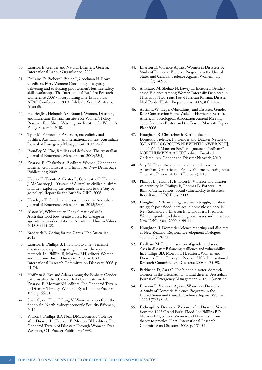- 30. Enarson E. Gender and Natural Disasters. Geneva: International Labour Organisation, 2000.
- 31. DeLaine D, Probert J, Pedler T, Goodman H, Rowe C, editors. Fiery Women: Consulting, designing, delivering and evaluating pilot women's bushfire safety skills workshops. The International Bushfire Research Conference 2008 - incorporating The 15th annual AFAC Conference, ; 2003; Adelaide, South Australia, Australia.
- 32. Henrici JM, Helmuth AS, Braun J. Women, Disasters, and Hurricane Katrina. Institute for Women's Policy Research Fact Sheet. Washington: Institute for Women's Policy Research; 2010.
- 33. Tyler M, Fairbrother P. Gender, masculinity and bushfire: Australia in an international context. Australian Journal of Emergency Management. 2013;28(2).
- 34. Proudley M. Fire, families and decisions. The Australian Journal of Emergency Management. 2008;23(1).
- 35. Enarson E, Chakrabarti P, editors. Women, Gender and Disaster: Global Issues and Initiatives. New Delhi: Sage Publications; 2009.
- 36. Haynes K, Tibbits A, Coates L, Ganewatta G, Handmer J, McAnerney J. 100 years of Australian civilian bushfire fatalities: exploring the trends in relation to the 'stay or go policy': Report for the Bushfire CRC. 2008.
- 37. Hazeleger T. Gender and disaster recovery. Australian Journal of Emergency Management. 2013;28(e).
- 38. Alston M, Whittenbury. Does climatic crisis in Australia's food bowl create a basis for change in agricultural gender relations? Aricultural Human Values. 2013;30:115-28.
- 39. Broderick E. Caring for the Carers. The Australian. 2013.
- 40. Enarson E, Phillips B. Invitation to a new feminist disaster sociology: integrating feminist theory and methods. In: Phillips B, Morrow BH, editors. Women and Disasters: From Theory to Practice. USA: International Research Committee on Disasters; 2008. p. 41-74.
- 41. Hoffman S. Eve and Adam among the Embers: Gender patterns after the Oakland Berkeley Firestorm. In: Enarson E, Morrow BH, editors. The Gendered Terrain of Disaster: Through Women's Eyes London: Praeger; 1998. p. 55-61.
- 42. Shaw C, van Unen J, Lang V. Women's voices from the floodplain. North Sydney: economic Security4Women, 2012.
- 43. Wilson J, Phillips BD, Neal DM. Domestic Violence after Disaster In: Enarson E, Morrow BH, editors. The Gendered Terrain of Disaster: Through Women's Eyes Westport, CT: Praeger Publishers; 1998.
- 44. Enarson E. Violence Against Women in Disasters: A Study of Domestic Violence Programs in the United States and Canada. Violence Against Women. July 1999;5(7):742-68.
- 45. Anastario M, Shehab N, Lawry L. Increased Genderbased Violence Among Women Internally Displaced in Mississippi Two Years Post-Hurrican Katrina. Disaster Med Public Health Preparedness. 2009;3(1):18-26.
- 46. Austin DW. Hyper-Masculinity and Disaster: Gender Role Construction in the Wake of Hurricane Katrina. American Sociological Association Annual Meeting; 2008; Sheraton Boston and the Boston Marriott Copley Place2008.
- 47. Houghton R. Christchurch Earthquake and Domestic Violence. In: Gender and Disaster Network [GDNET-L@GROUPS.PREVENTIONWEB.NET]; on behalf of; Maureen Fordham [maureen.fordham@ NORTHUMBRIA.AC.UK], editor. Email ed. Christchurch: Gender and Disaster Network; 2010.
- 48. Sety M. Domestic violence and natural disasters. Australian Domestic and Family Violence Clearinghouse Thematic Review. 2012;3 (February):1-10.
- 49. Phillips B, Jenkins P, Enarson E. Violence and disaster vulnerabilty. In: Phillips B, Thomas D, Fothergill A, Blinn-Pike L, editors. Social vulnerability to disasters. Boca Raton: CRC Press; 2009.
- 50. Houghton R. 'Everything became a struggle, absolute struggle': post-flood increases in domestic violence in New Zealand. In: Enarson E, Chakrabarti P, editors. Women, gender and disaster: global issues and initiatives. New Dehli: Sage; 2009. p. 99-111.
- 51. Houghton R. Domestic violence reporting and disasters in New Zealand. Regional Development Dialogue. 2009;30(1):79-90.
- 52. Fordham M. The intersection of gender and social class in disaster: Balancing resilience and vulnerability. In: Phillips BD, Morrow BH, editors. Women and Disasters: From Theory to Practice. USA: International Research Committee on Disasters; 2008. p. 75-98.
- 53. Parkinson D, Zara C. The hidden disaster: domestic violence in the aftermath of natural disaster. Australian Journal of Emergency Management. 2013;28(2):28-35.
- 54. Enarson E. Violence Against Women in Disasters: A Study of Domestic Violence Programs in the United States and Canada. Violence Against Women. 1999;5(7):742-68.
- 55. Fothergill A. Domestic Violence after Disaster: Voices from the 1997 Grand Forks Flood. In: Phillips BD, Morrow BH, editors. Women and Disasters: From theory to practice. USA: International Research Committee on Disasters; 2008. p. 131-54.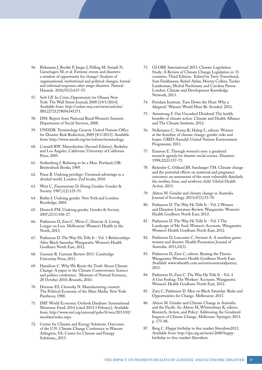- 56. Birkmann J, Buckle P, Jaeger J, Pelling M, Setiadi N, Garschagen M, et al. Extreme events and disasters: a window of opportunity for change? Analysis of organizational, institutional and political changes, formal and informal responses after mega-disasters. Natural Hazards. 2010;55(3):637-55.
- 57. Seib GF. In Crisis, Opportunity for Obama New York: The Wall Street Journal; 2008 [19/1/2014]. Available from: http://online.wsj.com/news/articles/ SB122721278056345271.
- 58. DSS. Report from National Rural Women's Summit. Department of Social Services, 2008.
- 59. UNISDR. Terminology Geneva: United Nations Office for Disaster Risk Reduction; 2009 [8/1/2013]. Available from: http://www.unisdr.org/we/inform/terminology.
- 60. Connell RW. Masculinities (Second Edition). Berkeley and Los Angeles, California: University of California Press; 2005.
- 61. Stoltenberg J. Refusing to be a Man. Portland, OR: Breitenbush Books; 1989.
- 62. Pease B. Undoing privilege: Unearned advantage in a divided world. London: Zed books; 2010.
- 63. West C, Zimmerman D. Doing Gender. Gender & Society. 1987;1(2):125-51.
- 64. Butler J. Undoing gender. New York and London: Routledge; 2004.
- 65. Deutsch FM. Undoing gender. Gender & Society. 2007;21(1):106-27.
- 66. Parkinson D, Zara C, Weiss C, Duncan A. Living Longer on Less. Melbourne: Women's Health in the North, 2013.
- 67. Parkinson D. The Way He Tells It Vol. 1 Relationships After Black Saturday. Wangaratta: Women's Health Goulburn North East, 2012.
- 68. Garnaut R. Garnaut Review 2011: Cambridge University Press; 2011.
- 69. Hamilton C. Why We Resist the Truth About Climate Change: A paper to the Climate Controversies: Science and politics conference. Museum of Natural Sciences,; 28 October 2010; Brussels, 2010.
- 70. Herman ES, Chomsky N. Manufacturing consent: The Political Economy of the Mass Media. New York: Pantheon; 1988.
- 71. IMF. World Economic Outlook Database: International Monetary Fund; 2014 [cited 2014 3 Febuary]. Available from: http://www.imf.org/external/pubs/ft/weo/2013/02/ weodata/index.aspx.
- 72. Center for Climate and Energy Solutions. Outcomes of the U.N. Climate Change Conference in Warsaw. Arlington, VA: Center for Climate and Energy Solutions,, 2013.
- 73. GLOBE International 2013. Climate Legislation Study: A Review of Climate Change Legislation in 33 countries. Third Edition. Edited by Terry Townshend, Sam Fankhauser, Rafael Aybar, Murray Collins, Tucker Landesman, Michal Nachmany and Carolina Pavese. London: Climate and Development Knowledge Network, 2013.
- 74. Potsdam Institute. Turn Down the Heat: Why a 4degreeC Warmer World Must Be Avoided. 2012.
- 75. Armstrong F. Our Uncashed Dividend: The health benefits of climate action. Climate and Health Alliance and The Climate Institute, 2012.
- 76. Nellemann C, Verma R, Hislop L, editors. Women at the frontline of climate change: gender risks and hopes. GRID-Arendal: United Nations Environment Programme; 2011.
- 77. Enarson E. Through women's eyes: a gendered research agenda for disaster social science. Disasters. 1998;22(2):157-73.
- 78. Rylander C, Odland JØ, Sandanger TM. Climate change and the potential effects on maternal and pregnancy outcomes: an assessment of the most vulnerable  $\&$ mdash: the mother, fetus, and newborn child. Global Health Action. 2013.
- 79. Alston M. Gender and climate change in Australia. Journal of Sociology. 2013;47(1):53-70.
- 80. Parkinson D. The Way He Tells It Vol. 2 Women and Disasters Literature Review. Wangaratta: Women's Health Goulburn North East, 2012.
- 81. Parkinson D. The Way He Tells It Vol. 3 The Landscape of My Soul: Women's Accounts. Wangaratta: Women's Health Goulburn North East, 2012.
- 82. Parkinson D, Lancaster C, Stewart A. A numbers game: women and disaster. Health Promotion Journal of Australia. 2011;22(3).
- 83. Parkinson D, Zara C, editors. Beating the Flames. Wangaratta: Women's Health Goulburn North East. Available www.whealth.com.au/environmentaljustice; 2011.
- 84. Parkinson D, Zara C. The Way He Tells It Vol. 4 A Gut Feeling: The Workers' Accounts. Wangaratta: Women's Health Goulburn North East, 2012.
- 85. Zara C, Parkinson D. Men on Black Saturday: Risks and Opportunities for Change. Melbourne: 2013.
- 86. Alston M. Gender and Climate Change in Australia and the Pacific. In: Alston M, Whittenbury K, editors. Research, Action, and Policy: Addressing the Gendered Impacts of Climate Change. Melboune: Springer; 2013. p. 175-88.
- 87. Berg C. Happy birthday to free market liberalism2012. Available from: http://ipa.org.au/news/2680/happybirthday-to-free-market-liberalism.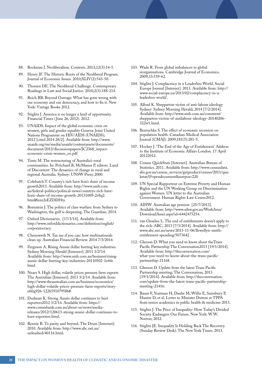- 88. Bockman J. Neoliberalism. Contexts. 2013;12(3):14-5.
- 89. Henry JF. The Historic Roots of the Neoliberal Program. Journal of Economic Issues. 2010;XLIV(2):543-50.
- 90. Thorsen DE. The Neoliberal Challenge. Contemporary Readings in Law and Social Justice. 2010;2(3):188-214.
- 91. Reich RB. Beyond Outrage: What has gone wrong with our economy and our democracy, and how to fix it. New York: Vintage Books 2012.
- 92. Stiglitz J. America is no longer a land of opportunity. Financial Times ( June 26, 2012). 2012.
- 93. UNAIDS. Impact of the global economic crisis on women, girls and gender equality Geneva: Joint United Nations Programme on HIV/AIDS (UNAIDS); 2012 [cited 2014 28/2]. Available from: http://www. unaids.org/en/media/unaids/contentassets/documents/ document/2012/discussionpapers/JC2368\_impacteconomic-crisis-women\_en.pdf
- 94. Tonts M. The restructuring of Australia's rural communities. In: Pritchard B, McManus P, editors. Land of Discontent: The dynamics of change in rural and regional Australia. Sydney: UNSW Press; 2000.
- 95. Colebatch T. Country's rich have lion's share of income growth2013. Available from: http://www.smh.com. au/federal-politics/political-news/countrys-rich-havelions-share-of-income-growth-20131009-2v8q2. html#ixzz2sEZDDHty.
- 96. Bornstein J. The politics of class warfare: from Sydney to Washington, the gulf is deepening. The Guardian. 2014.
- 97. Oxford Dictionaries. [17/3/14]. Available from: http://www.oxforddictionaries.com/definition/english/ corporatocracy.
- 98. Chenoweth N. Tax me if you can: how multinationals clean up. Australian Financial Review. 2014 7/3/2014.
- 99. Ferguson A. Rising Aussie dollar hurting key industries. Sydney Morning Herald [Internet]. 2011 3/2/14. Available from: http://www.smh.com.au/business/risingaussie-dollar-hurting-key-industries-20110502-1e44r. html.
- 100. Neaes S. High dollar, volatile prices pressure farm exports The Australian [Internet]. 2013 3/2/14. Available from: http://www.theaustralian.com.au/business/economics/ high-dollar-volatile-prices-pressure-farm-exports/storye6frg926-1226591079586#.
- 101. Dudman K. Strong Aussie dollar continues to hurt exporters2012 3/2/14. Available from: https:// www.commbank.com.au/about-us/news/mediareleases/2012/120613-strong-aussie-dollar-continues-tohurt-exporters.html.
- 102. Rennie R. To parity and beyond. The Drum [Internet]. 2010. Available from: http://www.abc.net.au/ unleashed/40116.html.
- 103. Wade R. From global imbalances to global reorganisations. Cambridge Journal of Economics. 2009;33:539-62.
- 104. Stiglitz J. Complacency in a Leaderless World. Social Europe Journal [Internet]. 2013. Available from: http:// www.social-europe.eu/2013/02/complacency-in-aleaderless-world/.
- 105. Alford K. Shepparton victim of anti-labour ideology Sydney: Sydney Morning Herald; 2014 [7/2/2014]. Available from: http://www.smh.com.au/comment/ shepparton-victim-of-antilabour-ideology-20140206- 322w1.html.
- 106. Bezruchka S. The effect of economic recession on population health. Canadian Medical Association Journal (CMAJ). 2009;181(5):281-5.
- 107. Hockey J. 'The End of the Age of Entitlement' Address to the Institute of Economic Affairs London. 17 April 20122012.
- 108. Census QuickStats [Internet]. Australian Bureau of Statistics. 2011. Available from: http://www.censusdata. abs.gov.au/census\_services/getproduct/census/2011/quic kstat/0?opendocument&navpos=220
- 109. UN Special Rapporteur on Extreme Poverty and Human Rights and the UN Working Group on Discrimination against Women. UN letter to the Australian Government. Human Rights Law Centre2012.
- 110. AIHW. Australian age pension [25/7/2013]. Available from: http://www.aihw.gov.au/WorkArea/ DownloadAsset.aspx?id=6442475254.
- 111. van Onselen L. The end of entitlements doesn't apply to the rich: ABC; 2013 [7/3/2014]. Available from: http:// www.abc.net.au/news/2013-11-06/llewellyn-smithentitlement-spending/5073642
- 112. Gleeson D. What you need to know about theTrans Pacific Partnership The Conversation2013 [19/1/2014]. Available from: http://theconversation.com/ what-you-need-to-know-about-the-trans-pacificpartnership-21168.
- 113. Gleeson D. Update from the latest Trans Pacific Partnership meeting: The Conversation; 2013 [19/1/2014]. Available from: http://theconversation. com/update-from-the-latest-trans-pacific-partnershipmeeting-21416.
- 114. Baum F, Yeatman H, Daube M, Willis E, Sainsbury P, Hunter D, et al. Letter to Minister Dutton re TPPA from senior academics in public health & medicine 2013.
- 115. Stiglitz J. The Price of Inequality: How Today's Divided Society Endangers Our Future. New York: W.W. Norton; 2012.
- 116. Stiglitz JE. Inequality Is Holding Back The Recovery. (Sunday Review Desk). The New York Times. 2013.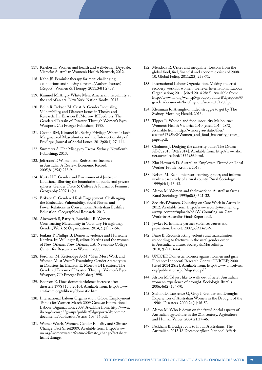- 117. Keleher H. Women and health and well-being. Drysdale, Victoria: Australian Women's Health Network, 2012.
- 118. Kahn JS. Feminist therapy for men: challenging assumptions and moving forward.(Author abstract) (Report). Women & Therapy. 2011;34(1 2):59.
- 119. Kimmel M. Angry White Men: American masculinity at the end of an era. New York: Nation Books; 2013.
- 120. Bolin R, Jackson M, Crist A. Gender Inequality, Vulnerability, and Disaster: Issues in Theory and Research. In: Enarson E, Morrow BH, editors. The Gendered Terrain of Disaster: Through Women's Eyes. Westport, CT: Praeger Publishers; 1998.
- 121. Coston BM, Kimmel M. Seeing Privilege Where It Isn't: Marginalized Masculinities and the Intersectionality of Privilege. Journal of Social Issues. 2012;68(1):97-111.
- 122. Summers A. The Misogyny Factor. Sydney: NewSouth Publishing; 2013.
- 123. Jefferson T. Women and Retirement Incomes in Australia: A Review. Economic Record. 2005;81(254):273-91.
- 124. Kurtz HE. Gender and Environmental Justice in Louisiana: Blurring the boundaries of public and private spheres: Gender, Place & Culture A Journal of Feminist Geography 2007;14(4).
- 125. Eriksen C. Gendered Risk Engagement: Challenging the Embedded Vulnerability, Social Norms and Power Relations in Conventional Australian Bushfire Education. Geographical Research. 2013.
- 126. Ainsworth S, Batty A, Burchielli R. Women Constructing Masculinity in Voluntary Firefighting. Gender, Work & Organization. 2014;21(1):37-56.
- 127. Jenkins P, Phillips B. Domestic violence and Hurricane Katrina. In: Willinger B, editor. Katrina and the women of New Orleans. New Orleans, LA: Newcomb College Center for Research on Women; 2008.
- 128. Fordham M, Ketteridge A-M. "Men Must Work and Women Must Weep": Examining Gender Stereotypes in Disasters In: Enarson E, Morrow BH, editors. The Gendered Terrain of Disaster: Through Women's Eyes. Westport, CT: Praeger Publisher; 1998.
- 129. Enarson E. Does domestic violence increase after disaster? 1998 [15.3.2010]. Available from: http://www. emforum.org/vlibrary/domestic.htm.
- 130. International Labour Organization. Global Employment Trends for Women March 2009 Geneva: International Labour Organization; 2009. Available from: http://www. ilo.org/wcmsp5/groups/public/@dgreports/@dcomm/ documents/publication/wcms\_103456.pdf.
- 131. WomenWatch. Women, Gender Equality and Climate Change: Fact Sheet2009. Available from: http://www. un.org/womenwatch/feature/climate\_change/factsheet. html#change.
- 132. Mendoza R. Crises and inequality: Lessons from the global food, fuel, financial and economic crises of 2008- 10. Global Policy. 2011;2(3):259-71.
- 133. International Labour Organization. Making the crisis recovery work for women! Geneva: International Labour Organisation; 2011 [cited 2014 28/2]. Available from: http://www.ilo.org/wcmsp5/groups/public/@dgreports/@ gender/documents/briefingnote/wcms\_151285.pdf.
- 134. Kleinman R. A single-minded struggle to get by. The Sydney-Morning Herald. 2013.
- 135. Tipper R. Women and food insecurity Melbourne: Women's Health Victoria; 2010 [cited 2014 28/2]. Available from: http://whv.org.au/static/files/ assets/64793bc2/Women\_and\_food\_insecurity\_issues\_ paper.pdf.
- 136. Chalmers J. Dodging the austerity bullet The Drum: ABC; 2013 [9/2/2014]. Available from: http://www.abc. net.au/unleashed/4572936.html.
- 137. Zhu Howorth D. Australian Employers Fixated on 'Ideal Worker' Profile. Kronos. 2013.
- 138. Nelson M. Economic restructuring, gender, and informal work: a case study of a rural county. Rural Sociology. 1999;64(1):18-43.
- 139. Alston M. Women and their work on Australian farms. Rural Sociology. 1995;60(3):521-32.
- 140. Security4Women. Counting on Care Work in Australia 2012. Available from: http://www.security4women.org. au/wp-content/uploads/eS4W-Counting-on-Care-Work-in-Australia-Final-Report.pdf.
- 141. Jewkes R. Intimate partner violence: causes and prevention. Lancet. 2002;359:1423-9.
- 142. Pease B. Reconstructing violent rural masculinities: responding to fractures in the rural gender order in Australia. Culture, Society & Masculinity. 2010;2(2):154-64.
- 143. UNICEF. Domestic violence against women and girls Florence: Innocenti Research Centre: UNICEF; 2000 [cited 2014 28/2]. Available from: http://www.unicef-irc. org/publications/pdf/digest6e.pdf
- 144. Alston M. 'I'd just like to walk out of here': Australian women's experience of drought. Sociologia Ruralis. 2006;46(2):154-70.
- 145. Stehlik D, Lawrence G, Gray I. Gender and Drought: Experiences of Australian Women in the Drought of the 1990s. Disasters. 2000;24(1):38-53.
- 146. Alston M. Who is down on the farm? Social aspects of Australian agriculture in the 21st century. Agriculture and Human Values. 2004;21:37-46.
- 147. Packham B. Budget cuts to hit all Australians. The Australian. 2013 18 December;Sect. National Affaris.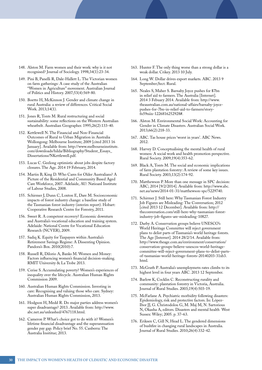- 148. Alston M. Farm women and their work: why is it not recognised? Journal of Sociology. 1998;34(1):23-34.
- 149. Pini B, Panelli R, Dale-Hallett L. The Victorian women on farm gatherings: A case study of the Australian "Women in Agriculture" movement. Australian Journal of Politics and History. 2007;53(4):569-80.
- 150. Boetto H, McKinnon J. Gender and climate change in rural Australia: a review of differences. Critical Social Work. 2013;14(1).
- 151. Jones R, Tonts M. Rural restructuring and social sustainability: some reflections on the Western Australian wheatbelt. Australian Geographer. 1995;26(2):133-40.
- 152. Kettlewell N. The Financial and Non-Financial Outcomes of Rural to Urban Migration in Australia Wollongong: Melbourne Institute; 2009 [cited 2013 16 January]. Available from: http://www.melbourneinstitute. com/downloads/hilda/Bibliography/Student\_Essays\_ Dissertations/NKettlewell.pdf.
- 153. Lucas C. Geelong optimistic about jobs despite factory closures. The Age. 2014 19 February, 2014.
- 154. Martin B, King D. Who Cares for Older Australians? A Picture of the Residential and Community Based Aged Care Workforce, 2007. Adelaide, AU: Natioanl Institute of Labour Studies, 2008.
- 155. Schirmer J, Dunn C, Loxton E, Dare M. Socioeconomic impacts of forest industry change: a baseline study of the Tasmanian forest industry (interim report). Hobart: Cooperative Research Centre for Forestry, 2011.
- 156. Sweet R. A competent recovery? Economic downturn and Australia's vocational education and training system. Adelaide: National Centre for Vocational Education Research (NCVER), 2009.
- 157. Sadiq K. Equity for Taxpayers within Australia's Retirement Savings Regime: A Dissenting Opinion. Pandora's Box. 2010(2010):7.
- 158. Russell R, Dilorio A, Banks M. Women and Money: Factors influencing women's financial decision-making. RMIT University & La Trobe 2013.
- 159. Cerise S. Accumulating poverty? Women's experiences of inequality over the lifecycle. Australian Human Rights Commission 2009.
- 160. Australian Human Rights Commission. Investing in care: Recognising and valuing those who care. Sydney: Australian Human Rights Commission, 2013.
- 161. Hodgson H, Medd R. Do major parties address women's super disadvantage? 2013. Available from: http://www. abc.net.au/unleashed/4767118.html.
- 162. Cameron P. What's choice got to do with it? Women's lifetime financial disadvantage and the superannuation gender pay gap. Policy brief No. 55. Canberra: The Australia Insititue; 2013.
- 163. Hunter F. The only thing worse than a strong dollar is a weak dollar. Crikey. 2013 10 July.
- 164. Long W. Dollar drives export markets. ABC. 2013 9 September;Sect. Rural.
- 165. Neales S, Maher S. Barnaby Joyce pushes for \$7bn in relief aid to farmers. The Australia [Internet]. 2014 3 Febuary 2014. Available from: http://www. theaustralian.com.au/national-affairs/barnaby-joycepushes-for-7bn-in-relief-aid-to-farmers/storyfn59niix-1226816252928#.
- 166. Alston M. Environmental Social Work: Accounting for Gender in Climate Disasters. Australian Social Work. 2013;66(2):218-33.
- 167. ABC. Tas house prices 'worst in years'. ABC News. 2012.
- 168. Harvey D. Conceptualising the mental health of rural women: A social work and health promotion perspective. Rural Society. 2009;19(4):353-62.
- 169. Black A, Tonts M. The social and economic implications of farm plantation forestry: A review of some key issues. Rural Society. 2003;13(2):174-92.
- 170. Matthewson P. More than one message in SPC decision: ABC; 2014 [9/2/2014]. Available from: http://www.abc. net.au/news/2014-01-31/matthewson-spc/5229740.
- 171. Schirmer J. Still here: Why Tasmanian Forest Industry Job Figures are Misleading: The Conversation; 2012 [cited 2013 12 December]. Available from: http:// theconversation.com/still-here-why-tasmanian-forestindustry-job-figures-are-misleading-10827.
- 172. Darby A. Conservation groups believe UNESCO's World Heritage Committee will reject government plans to delist parts of Tasmania's world heritage forests. The Age [Internet]. 2014 28/2/14. Available from: http://www.theage.com.au/environment/conservation/ conservation-groups-believe-unescos-world-heritagecommittee-will-reject-government-plans-to-delist-partsof-tasmanias-world-heritage-forests-20140203-31xb3. html.
- 173. McGrath P. Australia's unemploymetn rates climbs to its highest level in four years ABC. 2013 12 September.
- 174. Barlow K, Cocklin C. Reconstructing rurality and community: plantation forestry in Victoria, Australia. Journal of Rural Studies. 2003;19(4):503-19.
- 175. McFarlane A. Psychiatric morbidity following disasters: Epidemiology, risk and protective factors. In: López-Ibor JJ, G. Christodolou G, M. Maj M, N. Sartorious N, Okasha A, editors. Disasters and mental health West Sussex: Wiley; 2005. p. 37–63.
- 176. Eriksen C, Gill N, Head L. The gendered dimensions of bushfire in changing rural landscapes in Australia. Journal of Rural Studies. 2010;26(4):332-42.